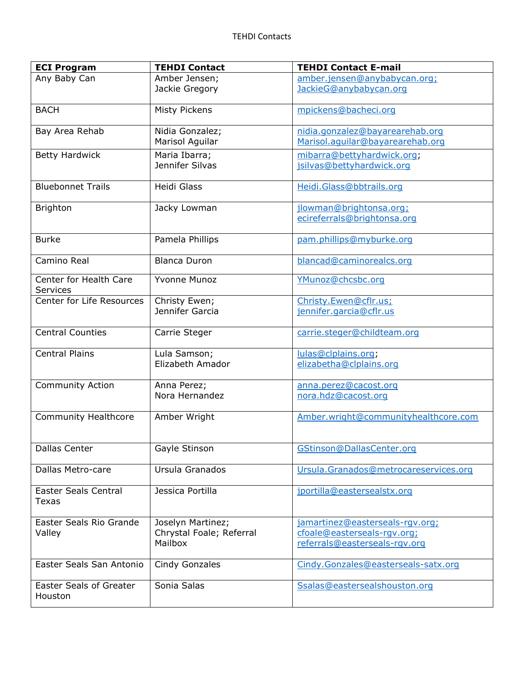| <b>ECI Program</b>                        | <b>TEHDI Contact</b>                                     | <b>TEHDI Contact E-mail</b>                                                                     |
|-------------------------------------------|----------------------------------------------------------|-------------------------------------------------------------------------------------------------|
| Any Baby Can                              | Amber Jensen;<br>Jackie Gregory                          | amber.jensen@anybabycan.org;<br>JackieG@anybabycan.org                                          |
| <b>BACH</b>                               | <b>Misty Pickens</b>                                     | mpickens@bacheci.org                                                                            |
| Bay Area Rehab                            | Nidia Gonzalez;<br>Marisol Aguilar                       | nidia.gonzalez@bayarearehab.org<br>Marisol.aquilar@bayarearehab.org                             |
| <b>Betty Hardwick</b>                     | Maria Ibarra;<br>Jennifer Silvas                         | mibarra@bettyhardwick.org;<br>jsilvas@bettyhardwick.org                                         |
| <b>Bluebonnet Trails</b>                  | Heidi Glass                                              | Heidi.Glass@bbtrails.org                                                                        |
| <b>Brighton</b>                           | Jacky Lowman                                             | jlowman@brightonsa.org;<br>ecireferrals@brightonsa.org                                          |
| <b>Burke</b>                              | Pamela Phillips                                          | pam.phillips@myburke.org                                                                        |
| Camino Real                               | <b>Blanca Duron</b>                                      | blancad@caminorealcs.org                                                                        |
| Center for Health Care<br>Services        | <b>Yvonne Munoz</b>                                      | YMunoz@chcsbc.org                                                                               |
| Center for Life Resources                 | Christy Ewen;<br>Jennifer Garcia                         | Christy.Ewen@cflr.us;<br>jennifer.garcia@cflr.us                                                |
| <b>Central Counties</b>                   | Carrie Steger                                            | carrie.steger@childteam.org                                                                     |
| <b>Central Plains</b>                     | Lula Samson;<br>Elizabeth Amador                         | lulas@clplains.org;<br>elizabetha@clplains.org                                                  |
| <b>Community Action</b>                   | Anna Perez;<br>Nora Hernandez                            | anna.perez@cacost.org<br>nora.hdz@cacost.org                                                    |
| <b>Community Healthcore</b>               | Amber Wright                                             | Amber.wright@communityhealthcore.com                                                            |
| Dallas Center                             | Gayle Stinson                                            | GStinson@DallasCenter.org                                                                       |
| Dallas Metro-care                         | Ursula Granados                                          | Ursula.Granados@metrocareservices.org                                                           |
| <b>Easter Seals Central</b><br>Texas      | Jessica Portilla                                         | jportilla@eastersealstx.org                                                                     |
| Easter Seals Rio Grande<br>Valley         | Joselyn Martinez;<br>Chrystal Foale; Referral<br>Mailbox | jamartinez@easterseals-rqv.org;<br>cfoale@easterseals-rgv.org;<br>referrals@easterseals-rqv.org |
| Easter Seals San Antonio                  | Cindy Gonzales                                           | Cindy.Gonzales@easterseals-satx.org                                                             |
| <b>Easter Seals of Greater</b><br>Houston | Sonia Salas                                              | Ssalas@eastersealshouston.org                                                                   |